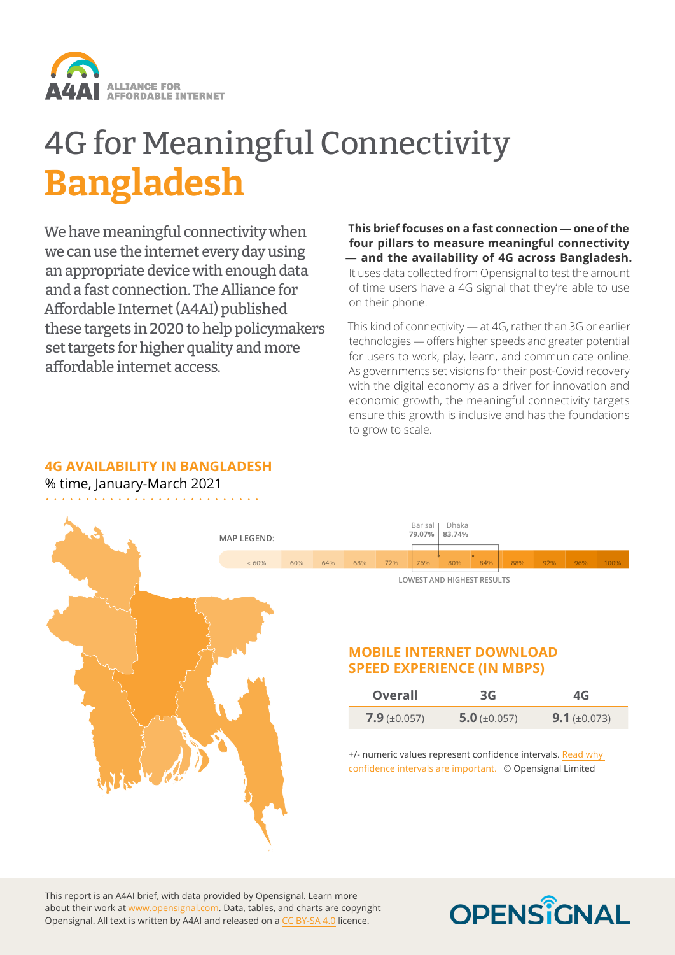

# 4G for Meaningful Connectivity **Bangladesh**

We have meaningful connectivity when we can use the internet every day using an appropriate device with enough data and a fast connection. The Alliance for Affordable Internet (A4AI) published these targets in 2020 to help policymakers set targets for higher quality and more affordable internet access.

**This brief focuses on a fast connection — one of the four pillars to measure meaningful connectivity — and the availability of 4G across Bangladesh.** It uses data collected from Opensignal to test the amount of time users have a 4G signal that they're able to use on their phone.

This kind of connectivity — at 4G, rather than 3G or earlier technologies — offers higher speeds and greater potential for users to work, play, learn, and communicate online. As governments set visions for their post-Covid recovery with the digital economy as a driver for innovation and economic growth, the meaningful connectivity targets ensure this growth is inclusive and has the foundations to grow to scale.

#### **4G AVAILABILITY IN BANGLADESH**

% time, January-March 2021



This report is an A4AI brief, with data provided by Opensignal. Learn more about their work at www[.opensignal.com.](https://opensignal.com) Data, tables, and charts are copyright Opensignal. All text is written by A4AI and released on a [CC BY-SA 4.0](https://creativecommons.org/licenses/by-sa/4.0/) licence.

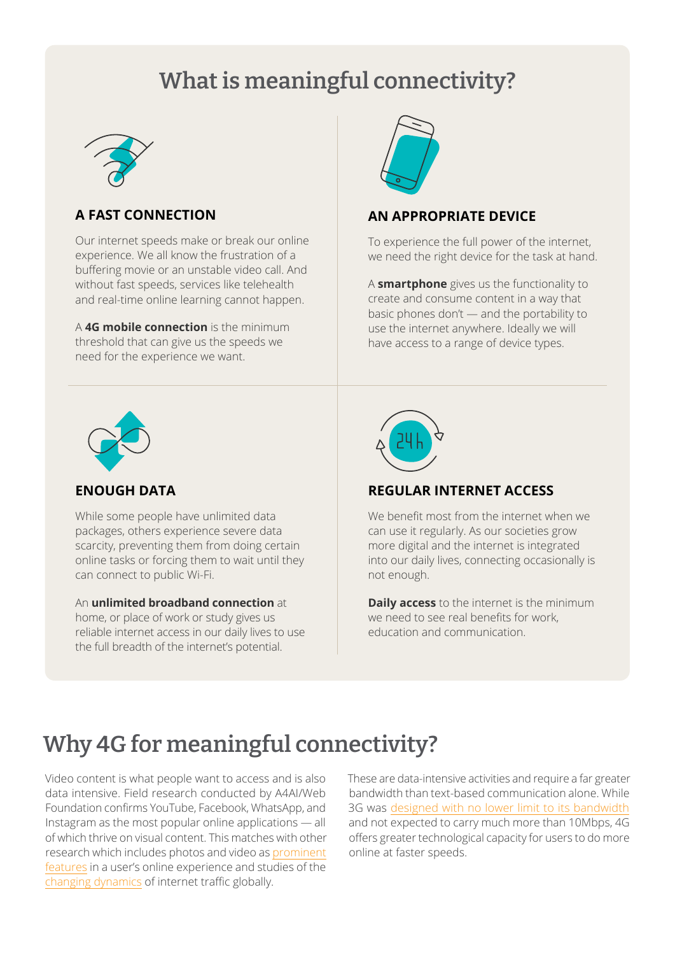## **What is meaningful connectivity?**



#### **A FAST CONNECTION**

Our internet speeds make or break our online experience. We all know the frustration of a buffering movie or an unstable video call. And without fast speeds, services like telehealth and real-time online learning cannot happen.

A **4G mobile connection** is the minimum threshold that can give us the speeds we need for the experience we want.



#### **AN APPROPRIATE DEVICE**

To experience the full power of the internet, we need the right device for the task at hand.

A **smartphone** gives us the functionality to create and consume content in a way that basic phones don't — and the portability to use the internet anywhere. Ideally we will have access to a range of device types.



#### **ENOUGH DATA**

While some people have unlimited data packages, others experience severe data scarcity, preventing them from doing certain online tasks or forcing them to wait until they can connect to public Wi-Fi.

An **unlimited broadband connection** at home, or place of work or study gives us reliable internet access in our daily lives to use the full breadth of the internet's potential.



### **REGULAR INTERNET ACCESS**

We benefit most from the internet when we can use it regularly. As our societies grow more digital and the internet is integrated into our daily lives, connecting occasionally is not enough.

**Daily access** to the internet is the minimum we need to see real benefits for work, education and communication.

### **Why 4G for meaningful connectivity?**

Video content is what people want to access and is also data intensive. Field research conducted by A4AI/Web Foundation confirms YouTube, Facebook, WhatsApp, and Instagram as the most popular online applications — all of which thrive on visual content. This matches with other research which includes photos and video as [prominent](https://www.pewresearch.org/internet/2019/08/22/in-emerging-economies-smartphone-and-social-media-users-have-broader-social-networks/)  [features](https://www.pewresearch.org/internet/2019/08/22/in-emerging-economies-smartphone-and-social-media-users-have-broader-social-networks/) in a user's online experience and studies of the [changing dynamics](https://www.ericsson.com/en/mobility-report/reports) of internet traffic globally.

These are data-intensive activities and require a far greater bandwidth than text-based communication alone. While 3G was [designed with no lower limit to its bandwidth](https://www.itu.int/dms_pubrec/itu-r/rec/m/R-REC-M.1645-0-200306-I!!PDF-E.pdf) and not expected to carry much more than 10Mbps, 4G offers greater technological capacity for users to do more online at faster speeds.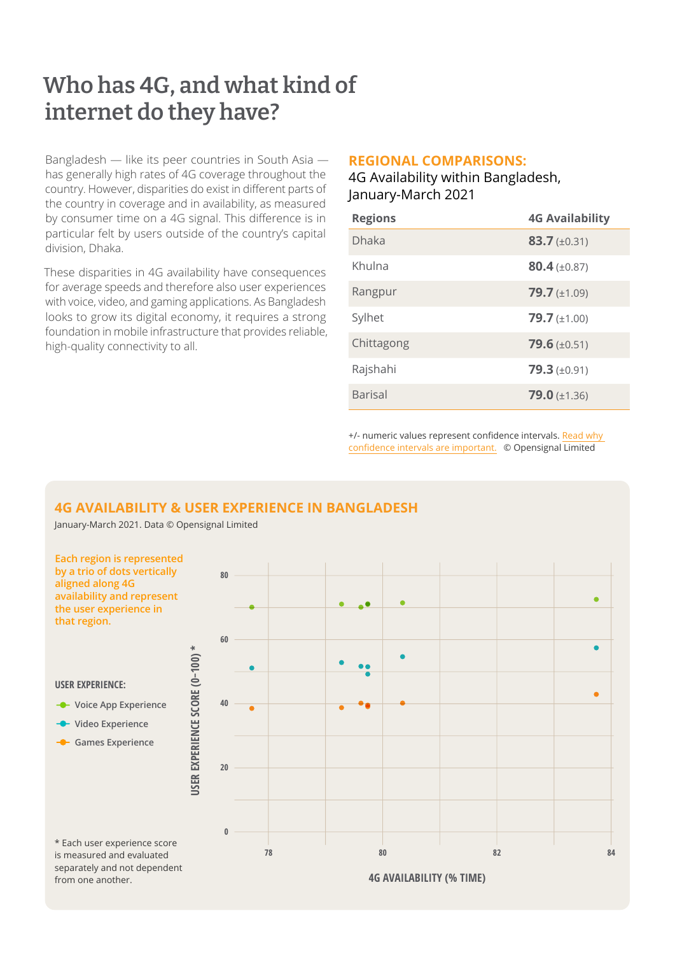### **Who has 4G, and what kind of internet do they have?**

Bangladesh — like its peer countries in South Asia has generally high rates of 4G coverage throughout the country. However, disparities do exist in different parts of the country in coverage and in availability, as measured by consumer time on a 4G signal. This difference is in particular felt by users outside of the country's capital division, Dhaka.

These disparities in 4G availability have consequences for average speeds and therefore also user experiences with voice, video, and gaming applications. As Bangladesh looks to grow its digital economy, it requires a strong foundation in mobile infrastructure that provides reliable, high-quality connectivity to all.

#### **REGIONAL COMPARISONS:**

4G Availability within Bangladesh, January-March 2021

| <b>Regions</b> | <b>4G Availability</b>    |
|----------------|---------------------------|
| <b>Dhaka</b>   | $83.7 \ (\pm 0.31)$       |
| Khulna         | $80.4 \, (\pm 0.87)$      |
| Rangpur        | $79.7 \ (\pm 1.09)$       |
| Sylhet         | $79.7 \ (\pm 1.00)$       |
| Chittagong     | $79.6 \ (\pm 0.51)$       |
| Rajshahi       | $79.3 \ (\pm 0.91)$       |
| <b>Barisal</b> | <b>79.0</b> ( $\pm$ 1.36) |

+/- numeric values represent confidence intervals. [Read why](https://www.opensignal.com/2019/02/13/why-confidence-intervals-are-vital-in-analyzing-mobile-network-experience)  [confidence intervals are important.](https://www.opensignal.com/2019/02/13/why-confidence-intervals-are-vital-in-analyzing-mobile-network-experience) © Opensignal Limited

### **4G AVAILABILITY & USER EXPERIENCE IN BANGLADESH**

January-March 2021. Data © Opensignal Limited